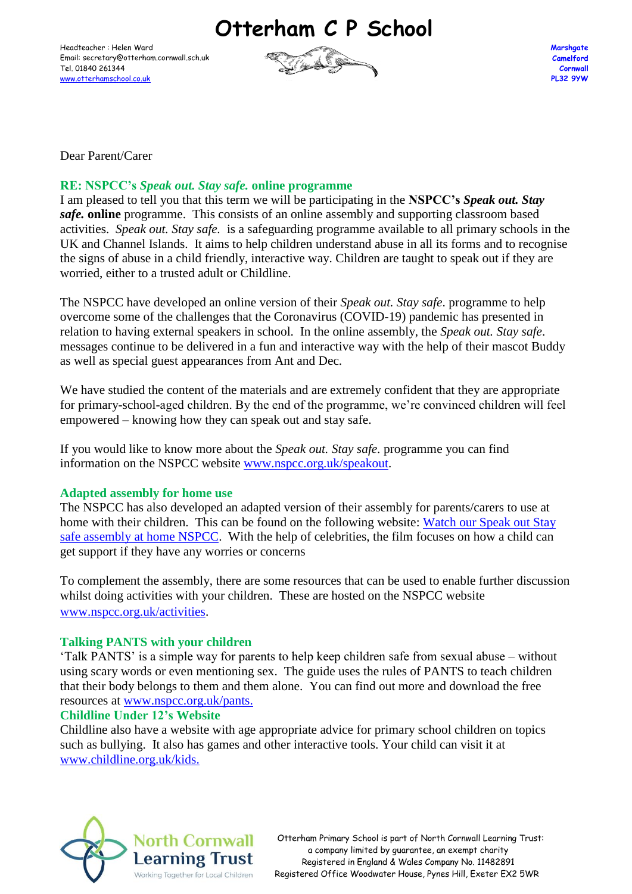**Otterham C P School**

Headteacher : Helen Ward Email: secretary@otterham.cornwall.sch.uk Tel. 01840 261344 [www.otterhamschool.co.uk](http://www.otterhamschool.co.uk/)



Dear Parent/Carer

# **RE: NSPCC's** *Speak out. Stay safe.* **online programme**

I am pleased to tell you that this term we will be participating in the **NSPCC's** *Speak out. Stay safe.* **online** programme. This consists of an online assembly and supporting classroom based activities. *Speak out. Stay safe.* is a safeguarding programme available to all primary schools in the UK and Channel Islands. It aims to help children understand abuse in all its forms and to recognise the signs of abuse in a child friendly, interactive way. Children are taught to speak out if they are worried, either to a trusted adult or Childline.

The NSPCC have developed an online version of their *Speak out. Stay safe*. programme to help overcome some of the challenges that the Coronavirus (COVID-19) pandemic has presented in relation to having external speakers in school. In the online assembly, the *Speak out. Stay safe*. messages continue to be delivered in a fun and interactive way with the help of their mascot Buddy as well as special guest appearances from Ant and Dec.

We have studied the content of the materials and are extremely confident that they are appropriate for primary-school-aged children. By the end of the programme, we're convinced children will feel empowered – knowing how they can speak out and stay safe.

If you would like to know more about the *Speak out. Stay safe.* programme you can find information on the NSPCC website [www.nspcc.org.uk/speakout.](http://www.nspcc.org.uk/speakout)

### **Adapted assembly for home use**

The NSPCC has also developed an adapted version of their assembly for parents/carers to use at home with their children.This can be found on the following website: [Watch our Speak out Stay](https://www.nspcc.org.uk/keeping-children-safe/support-for-parents/safety/)  [safe assembly at home NSPCC.](https://www.nspcc.org.uk/keeping-children-safe/support-for-parents/safety/) With the help of celebrities, the film focuses on how a child can get support if they have any worries or concerns

To complement the assembly, there are some resources that can be used to enable further discussion whilst doing activities with your children. These are hosted on the NSPCC website [www.nspcc.org.uk/activities.](http://www.nspcc.org.uk/activities)

### **Talking PANTS with your children**

'Talk PANTS' is a simple way for parents to help keep children safe from sexual abuse – without using scary words or even mentioning sex. The guide uses the rules of PANTS to teach children that their body belongs to them and them alone. You can find out more and download the free resources at [www.nspcc.org.uk/pants.](http://www.nspcc.org.uk/pants)

### **Childline Under 12's Website**

Childline also have a website with age appropriate advice for primary school children on topics such as bullying. It also has games and other interactive tools. Your child can visit it at [www.childline.org.uk/kids.](http://www.childline.org.uk/kids)